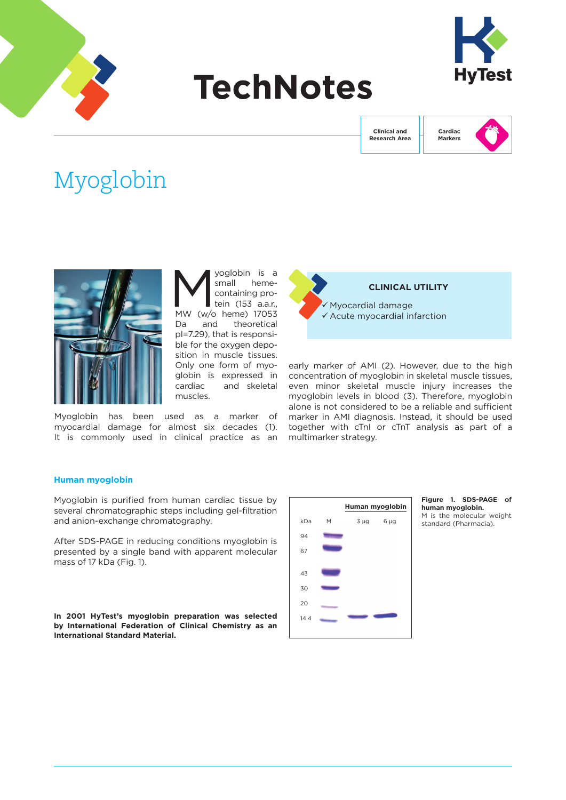

# **TechNotes**



**Clinical and Research Area**



# Myoglobin



yoglobin is a small hemecontaining protein (153 a.a.r., MW (w/o heme) 17053 Da and theoretical pI=7.29), that is responsible for the oxygen deposition in muscle tissues. Only one form of myoglobin is expressed in cardiac and skeletal muscles.

Myoglobin has been used as a marker of myocardial damage for almost six decades (1). It is commonly used in clinical practice as an



early marker of AMI (2). However, due to the high concentration of myoglobin in skeletal muscle tissues, even minor skeletal muscle injury increases the myoglobin levels in blood (3). Therefore, myoglobin alone is not considered to be a reliable and sufficient marker in AMI diagnosis. Instead, it should be used together with cTnI or cTnT analysis as part of a multimarker strategy.

# **Human myoglobin**

Myoglobin is purified from human cardiac tissue by several chromatographic steps including gel-filtration and anion-exchange chromatography.

After SDS-PAGE in reducing conditions myoglobin is presented by a single band with apparent molecular mass of 17 kDa (Fig. 1).

**In 2001 HyTest's myoglobin preparation was selected by International Federation of Clinical Chemistry as an International Standard Material.**



**Figure 1. SDS-PAGE of human myoglobin.**  M is the molecular weight standard (Pharmacia).